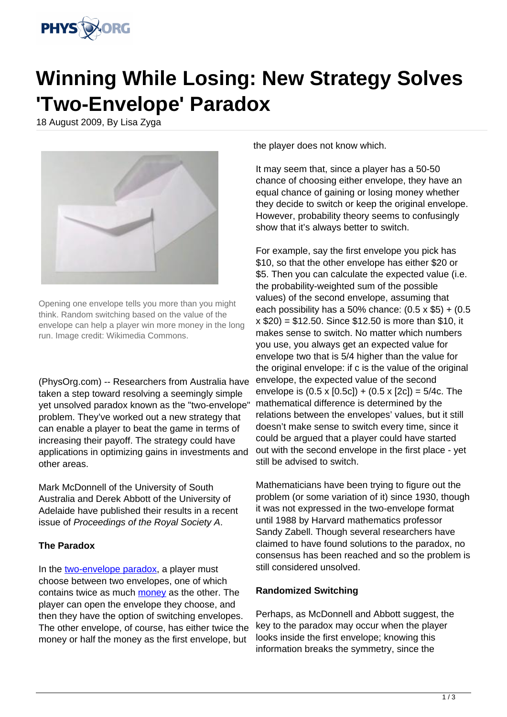

## **Winning While Losing: New Strategy Solves 'Two-Envelope' Paradox**

18 August 2009, By Lisa Zyga



Opening one envelope tells you more than you might think. Random switching based on the value of the envelope can help a player win more money in the long run. Image credit: Wikimedia Commons.

(PhysOrg.com) -- Researchers from Australia have taken a step toward resolving a seemingly simple yet unsolved paradox known as the "two-envelope" problem. They've worked out a new strategy that can enable a player to beat the game in terms of increasing their payoff. The strategy could have applications in optimizing gains in investments and other areas.

Mark McDonnell of the University of South Australia and Derek Abbott of the University of Adelaide have published their results in a recent issue of Proceedings of the Royal Society A.

## **The Paradox**

In the [two-envelope paradox](http://en.wikipedia.org/wiki/Two_envelopes_problem), a player must choose between two envelopes, one of which contains twice as much [money](https://phys.org/tags/money/) as the other. The player can open the envelope they choose, and then they have the option of switching envelopes. The other envelope, of course, has either twice the money or half the money as the first envelope, but

the player does not know which.

It may seem that, since a player has a 50-50 chance of choosing either envelope, they have an equal chance of gaining or losing money whether they decide to switch or keep the original envelope. However, probability theory seems to confusingly show that it's always better to switch.

For example, say the first envelope you pick has \$10, so that the other envelope has either \$20 or \$5. Then you can calculate the expected value (i.e. the probability-weighted sum of the possible values) of the second envelope, assuming that each possibility has a 50% chance:  $(0.5 \times $5) + (0.5 \times $5)$ x \$20) = \$12.50. Since \$12.50 is more than \$10, it makes sense to switch. No matter which numbers you use, you always get an expected value for envelope two that is 5/4 higher than the value for the original envelope: if c is the value of the original envelope, the expected value of the second envelope is  $(0.5 \times [0.5c]) + (0.5 \times [2c]) = 5/4c$ . The mathematical difference is determined by the relations between the envelopes' values, but it still doesn't make sense to switch every time, since it could be argued that a player could have started out with the second envelope in the first place - yet still be advised to switch.

Mathematicians have been trying to figure out the problem (or some variation of it) since 1930, though it was not expressed in the two-envelope format until 1988 by Harvard mathematics professor Sandy Zabell. Though several researchers have claimed to have found solutions to the paradox, no consensus has been reached and so the problem is still considered unsolved.

## **Randomized Switching**

Perhaps, as McDonnell and Abbott suggest, the key to the paradox may occur when the player looks inside the first envelope; knowing this information breaks the symmetry, since the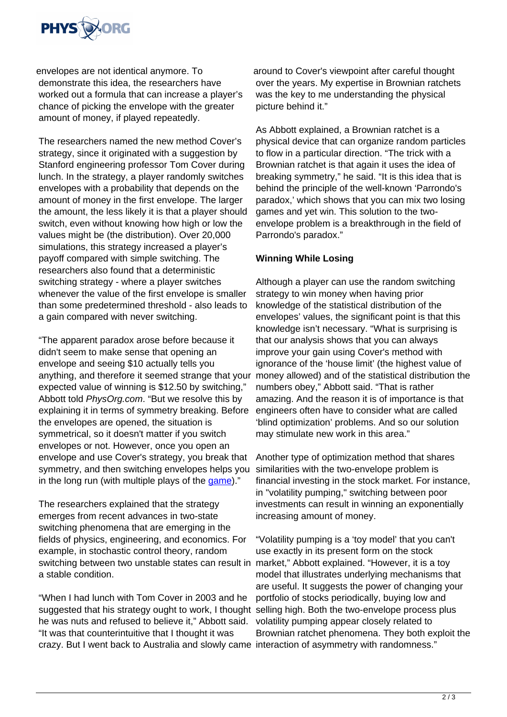

envelopes are not identical anymore. To demonstrate this idea, the researchers have worked out a formula that can increase a player's chance of picking the envelope with the greater amount of money, if played repeatedly.

The researchers named the new method Cover's strategy, since it originated with a suggestion by Stanford engineering professor Tom Cover during lunch. In the strategy, a player randomly switches envelopes with a probability that depends on the amount of money in the first envelope. The larger the amount, the less likely it is that a player should switch, even without knowing how high or low the values might be (the distribution). Over 20,000 simulations, this strategy increased a player's payoff compared with simple switching. The researchers also found that a deterministic switching strategy - where a player switches whenever the value of the first envelope is smaller than some predetermined threshold - also leads to a gain compared with never switching.

"The apparent paradox arose before because it didn't seem to make sense that opening an envelope and seeing \$10 actually tells you anything, and therefore it seemed strange that your expected value of winning is \$12.50 by switching," Abbott told PhysOrg.com. "But we resolve this by explaining it in terms of symmetry breaking. Before the envelopes are opened, the situation is symmetrical, so it doesn't matter if you switch envelopes or not. However, once you open an envelope and use Cover's strategy, you break that symmetry, and then switching envelopes helps you in the long run (with multiple plays of the [game](https://phys.org/tags/game/))."

The researchers explained that the strategy emerges from recent advances in two-state switching phenomena that are emerging in the fields of physics, engineering, and economics. For example, in stochastic control theory, random switching between two unstable states can result in market," Abbott explained. "However, it is a toy a stable condition.

"When I had lunch with Tom Cover in 2003 and he suggested that his strategy ought to work, I thought selling high. Both the two-envelope process plus he was nuts and refused to believe it," Abbott said. "It was that counterintuitive that I thought it was crazy. But I went back to Australia and slowly came interaction of asymmetry with randomness."

around to Cover's viewpoint after careful thought over the years. My expertise in Brownian ratchets was the key to me understanding the physical picture behind it."

As Abbott explained, a Brownian ratchet is a physical device that can organize random particles to flow in a particular direction. "The trick with a Brownian ratchet is that again it uses the idea of breaking symmetry," he said. "It is this idea that is behind the principle of the well-known 'Parrondo's paradox,' which shows that you can mix two losing games and yet win. This solution to the twoenvelope problem is a breakthrough in the field of Parrondo's paradox."

## **Winning While Losing**

Although a player can use the random switching strategy to win money when having prior knowledge of the statistical distribution of the envelopes' values, the significant point is that this knowledge isn't necessary. "What is surprising is that our analysis shows that you can always improve your gain using Cover's method with ignorance of the 'house limit' (the highest value of money allowed) and of the statistical distribution the numbers obey," Abbott said. "That is rather amazing. And the reason it is of importance is that engineers often have to consider what are called 'blind optimization' problems. And so our solution may stimulate new work in this area."

Another type of optimization method that shares similarities with the two-envelope problem is financial investing in the stock market. For instance, in "volatility pumping," switching between poor investments can result in winning an exponentially increasing amount of money.

"Volatility pumping is a 'toy model' that you can't use exactly in its present form on the stock model that illustrates underlying mechanisms that are useful. It suggests the power of changing your portfolio of stocks periodically, buying low and volatility pumping appear closely related to Brownian ratchet phenomena. They both exploit the